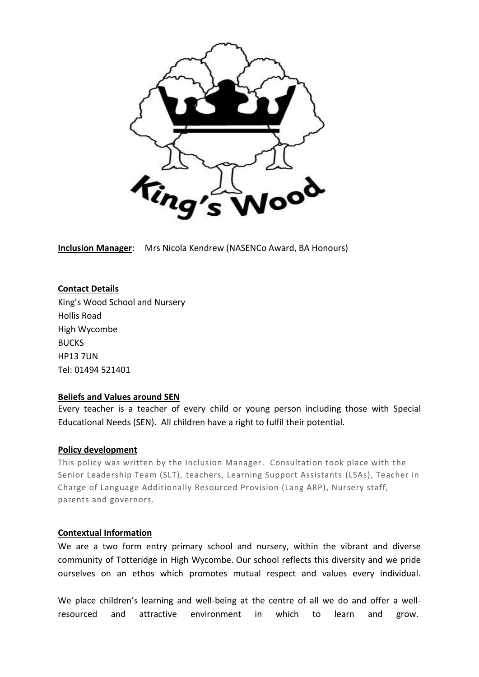

**Inclusion Manager**: Mrs Nicola Kendrew (NASENCo Award, BA Honours)

#### **Contact Details**

King's Wood School and Nursery Hollis Road High Wycombe BUCKS HP13 7UN Tel: 01494 521401

#### **Beliefs and Values around SEN**

Every teacher is a teacher of every child or young person including those with Special Educational Needs (SEN). All children have a right to fulfil their potential.

#### **Policy development**

This policy was written by the Inclusion Manager. Consultation took place with the Senior Leadership Team (SLT), teachers, Learning Support Assistants (LSAs), Teacher in Charge of Language Additionally Resourced Provision (Lang ARP), Nursery staff, parents and governors.

#### **Contextual Information**

We are a two form entry primary school and nursery, within the vibrant and diverse community of Totteridge in High Wycombe. Our school reflects this diversity and we pride ourselves on an ethos which promotes mutual respect and values every individual.

We place children's learning and well-being at the centre of all we do and offer a wellresourced and attractive environment in which to learn and grow.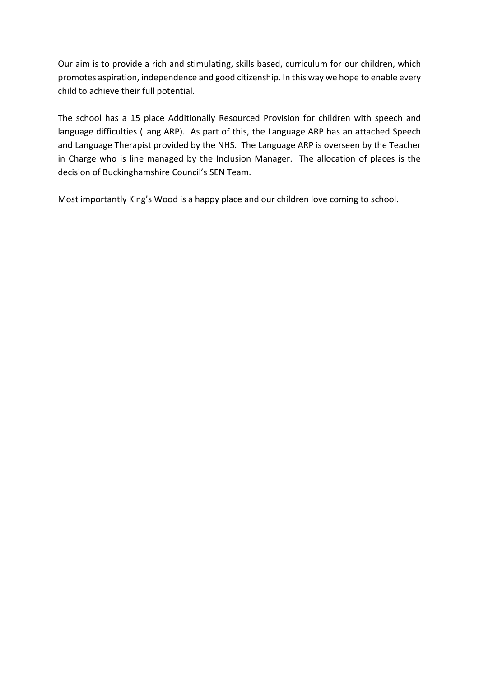Our aim is to provide a rich and stimulating, skills based, curriculum for our children, which promotes aspiration, independence and good citizenship. In this way we hope to enable every child to achieve their full potential.

The school has a 15 place Additionally Resourced Provision for children with speech and language difficulties (Lang ARP). As part of this, the Language ARP has an attached Speech and Language Therapist provided by the NHS. The Language ARP is overseen by the Teacher in Charge who is line managed by the Inclusion Manager. The allocation of places is the decision of Buckinghamshire Council's SEN Team.

Most importantly King's Wood is a happy place and our children love coming to school.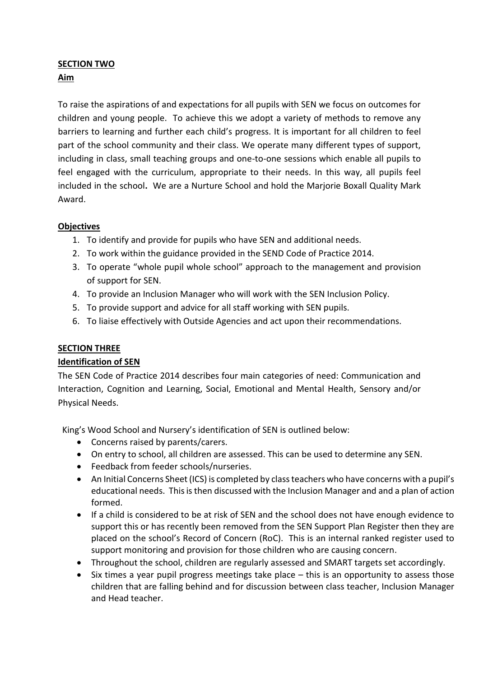# **SECTION TWO**

# **Aim**

To raise the aspirations of and expectations for all pupils with SEN we focus on outcomes for children and young people. To achieve this we adopt a variety of methods to remove any barriers to learning and further each child's progress. It is important for all children to feel part of the school community and their class. We operate many different types of support, including in class, small teaching groups and one-to-one sessions which enable all pupils to feel engaged with the curriculum, appropriate to their needs. In this way, all pupils feel included in the school**.** We are a Nurture School and hold the Marjorie Boxall Quality Mark Award.

# **Objectives**

- 1. To identify and provide for pupils who have SEN and additional needs.
- 2. To work within the guidance provided in the SEND Code of Practice 2014.
- 3. To operate "whole pupil whole school" approach to the management and provision of support for SEN.
- 4. To provide an Inclusion Manager who will work with the SEN Inclusion Policy.
- 5. To provide support and advice for all staff working with SEN pupils.
- 6. To liaise effectively with Outside Agencies and act upon their recommendations.

# **SECTION THREE**

# **Identification of SEN**

The SEN Code of Practice 2014 describes four main categories of need: Communication and Interaction, Cognition and Learning, Social, Emotional and Mental Health, Sensory and/or Physical Needs.

King's Wood School and Nursery's identification of SEN is outlined below:

- Concerns raised by parents/carers.
- On entry to school, all children are assessed. This can be used to determine any SEN.
- Feedback from feeder schools/nurseries.
- An Initial Concerns Sheet (ICS) is completed by class teachers who have concerns with a pupil's educational needs. This is then discussed with the Inclusion Manager and and a plan of action formed.
- If a child is considered to be at risk of SEN and the school does not have enough evidence to support this or has recently been removed from the SEN Support Plan Register then they are placed on the school's Record of Concern (RoC). This is an internal ranked register used to support monitoring and provision for those children who are causing concern.
- Throughout the school, children are regularly assessed and SMART targets set accordingly.
- $\bullet$  Six times a year pupil progress meetings take place  $-$  this is an opportunity to assess those children that are falling behind and for discussion between class teacher, Inclusion Manager and Head teacher.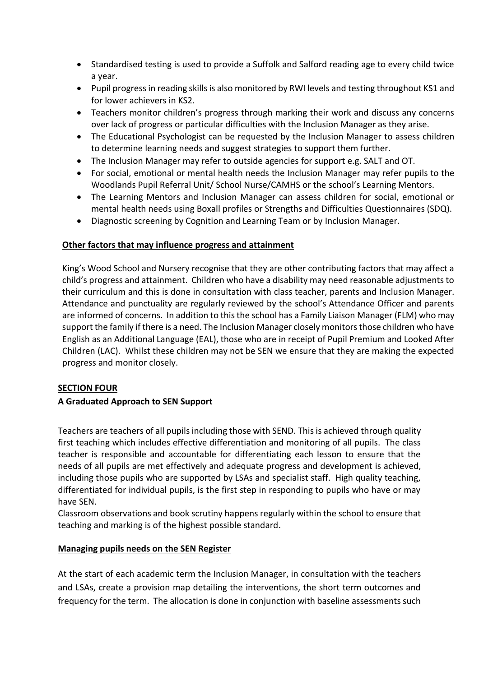- Standardised testing is used to provide a Suffolk and Salford reading age to every child twice a year.
- Pupil progress in reading skills is also monitored by RWI levels and testing throughout KS1 and for lower achievers in KS2.
- Teachers monitor children's progress through marking their work and discuss any concerns over lack of progress or particular difficulties with the Inclusion Manager as they arise.
- The Educational Psychologist can be requested by the Inclusion Manager to assess children to determine learning needs and suggest strategies to support them further.
- The Inclusion Manager may refer to outside agencies for support e.g. SALT and OT.
- For social, emotional or mental health needs the Inclusion Manager may refer pupils to the Woodlands Pupil Referral Unit/ School Nurse/CAMHS or the school's Learning Mentors.
- The Learning Mentors and Inclusion Manager can assess children for social, emotional or mental health needs using Boxall profiles or Strengths and Difficulties Questionnaires (SDQ).
- Diagnostic screening by Cognition and Learning Team or by Inclusion Manager.

# **Other factors that may influence progress and attainment**

King's Wood School and Nursery recognise that they are other contributing factors that may affect a child's progress and attainment. Children who have a disability may need reasonable adjustments to their curriculum and this is done in consultation with class teacher, parents and Inclusion Manager. Attendance and punctuality are regularly reviewed by the school's Attendance Officer and parents are informed of concerns. In addition to this the school has a Family Liaison Manager (FLM) who may support the family if there is a need. The Inclusion Manager closely monitors those children who have English as an Additional Language (EAL), those who are in receipt of Pupil Premium and Looked After Children (LAC). Whilst these children may not be SEN we ensure that they are making the expected progress and monitor closely.

# **SECTION FOUR**

# **A Graduated Approach to SEN Support**

Teachers are teachers of all pupils including those with SEND. This is achieved through quality first teaching which includes effective differentiation and monitoring of all pupils. The class teacher is responsible and accountable for differentiating each lesson to ensure that the needs of all pupils are met effectively and adequate progress and development is achieved, including those pupils who are supported by LSAs and specialist staff. High quality teaching, differentiated for individual pupils, is the first step in responding to pupils who have or may have SEN.

Classroom observations and book scrutiny happens regularly within the school to ensure that teaching and marking is of the highest possible standard.

# **Managing pupils needs on the SEN Register**

At the start of each academic term the Inclusion Manager, in consultation with the teachers and LSAs, create a provision map detailing the interventions, the short term outcomes and frequency for the term. The allocation is done in conjunction with baseline assessments such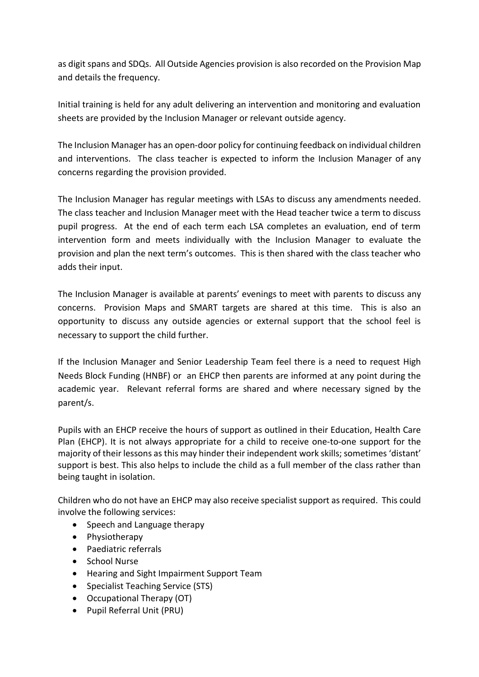as digit spans and SDQs. All Outside Agencies provision is also recorded on the Provision Map and details the frequency.

Initial training is held for any adult delivering an intervention and monitoring and evaluation sheets are provided by the Inclusion Manager or relevant outside agency.

The Inclusion Manager has an open-door policy for continuing feedback on individual children and interventions. The class teacher is expected to inform the Inclusion Manager of any concerns regarding the provision provided.

The Inclusion Manager has regular meetings with LSAs to discuss any amendments needed. The class teacher and Inclusion Manager meet with the Head teacher twice a term to discuss pupil progress. At the end of each term each LSA completes an evaluation, end of term intervention form and meets individually with the Inclusion Manager to evaluate the provision and plan the next term's outcomes. This is then shared with the class teacher who adds their input.

The Inclusion Manager is available at parents' evenings to meet with parents to discuss any concerns. Provision Maps and SMART targets are shared at this time. This is also an opportunity to discuss any outside agencies or external support that the school feel is necessary to support the child further.

If the Inclusion Manager and Senior Leadership Team feel there is a need to request High Needs Block Funding (HNBF) or an EHCP then parents are informed at any point during the academic year. Relevant referral forms are shared and where necessary signed by the parent/s.

Pupils with an EHCP receive the hours of support as outlined in their Education, Health Care Plan (EHCP). It is not always appropriate for a child to receive one-to-one support for the majority of their lessons as this may hinder their independent work skills; sometimes 'distant' support is best. This also helps to include the child as a full member of the class rather than being taught in isolation.

Children who do not have an EHCP may also receive specialist support as required. This could involve the following services:

- Speech and Language therapy
- Physiotherapy
- Paediatric referrals
- School Nurse
- Hearing and Sight Impairment Support Team
- Specialist Teaching Service (STS)
- Occupational Therapy (OT)
- Pupil Referral Unit (PRU)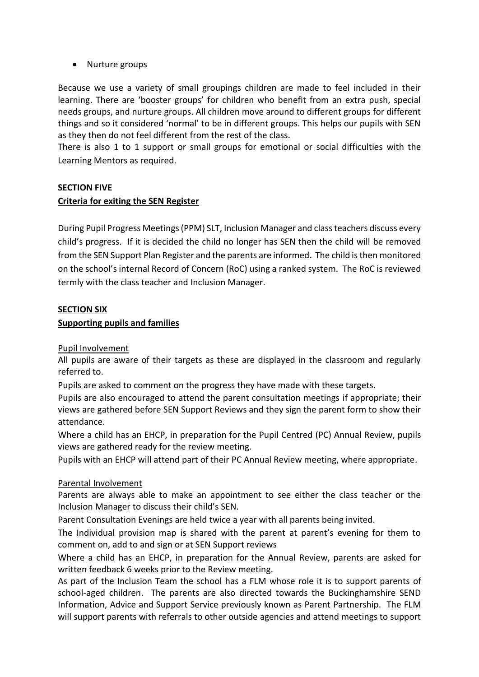### • Nurture groups

Because we use a variety of small groupings children are made to feel included in their learning. There are 'booster groups' for children who benefit from an extra push, special needs groups, and nurture groups. All children move around to different groups for different things and so it considered 'normal' to be in different groups. This helps our pupils with SEN as they then do not feel different from the rest of the class.

There is also 1 to 1 support or small groups for emotional or social difficulties with the Learning Mentors as required.

#### **SECTION FIVE**

#### **Criteria for exiting the SEN Register**

During Pupil Progress Meetings (PPM) SLT, Inclusion Manager and class teachers discuss every child's progress. If it is decided the child no longer has SEN then the child will be removed from the SEN Support Plan Register and the parents are informed. The child is then monitored on the school's internal Record of Concern (RoC) using a ranked system. The RoC is reviewed termly with the class teacher and Inclusion Manager.

#### **SECTION SIX**

#### **Supporting pupils and families**

#### Pupil Involvement

All pupils are aware of their targets as these are displayed in the classroom and regularly referred to.

Pupils are asked to comment on the progress they have made with these targets.

Pupils are also encouraged to attend the parent consultation meetings if appropriate; their views are gathered before SEN Support Reviews and they sign the parent form to show their attendance.

Where a child has an EHCP, in preparation for the Pupil Centred (PC) Annual Review, pupils views are gathered ready for the review meeting.

Pupils with an EHCP will attend part of their PC Annual Review meeting, where appropriate.

#### Parental Involvement

Parents are always able to make an appointment to see either the class teacher or the Inclusion Manager to discuss their child's SEN.

Parent Consultation Evenings are held twice a year with all parents being invited.

The Individual provision map is shared with the parent at parent's evening for them to comment on, add to and sign or at SEN Support reviews

Where a child has an EHCP, in preparation for the Annual Review, parents are asked for written feedback 6 weeks prior to the Review meeting.

As part of the Inclusion Team the school has a FLM whose role it is to support parents of school-aged children. The parents are also directed towards the Buckinghamshire SEND Information, Advice and Support Service previously known as Parent Partnership. The FLM will support parents with referrals to other outside agencies and attend meetings to support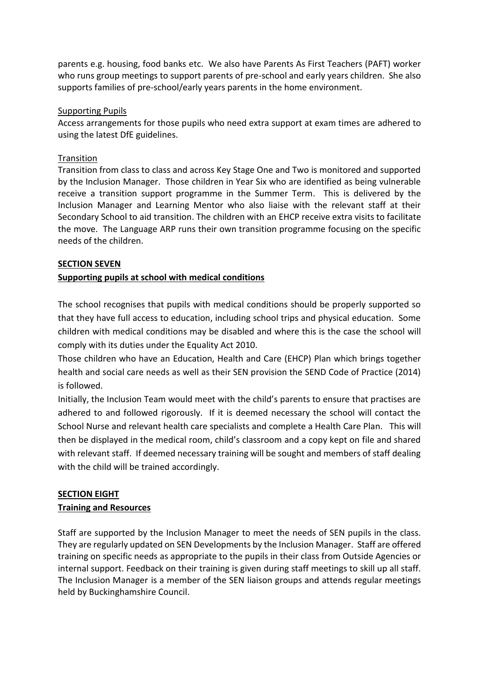parents e.g. housing, food banks etc. We also have Parents As First Teachers (PAFT) worker who runs group meetings to support parents of pre-school and early years children. She also supports families of pre-school/early years parents in the home environment.

#### Supporting Pupils

Access arrangements for those pupils who need extra support at exam times are adhered to using the latest DfE guidelines.

#### **Transition**

Transition from class to class and across Key Stage One and Two is monitored and supported by the Inclusion Manager. Those children in Year Six who are identified as being vulnerable receive a transition support programme in the Summer Term. This is delivered by the Inclusion Manager and Learning Mentor who also liaise with the relevant staff at their Secondary School to aid transition. The children with an EHCP receive extra visits to facilitate the move. The Language ARP runs their own transition programme focusing on the specific needs of the children.

#### **SECTION SEVEN**

# **Supporting pupils at school with medical conditions**

The school recognises that pupils with medical conditions should be properly supported so that they have full access to education, including school trips and physical education. Some children with medical conditions may be disabled and where this is the case the school will comply with its duties under the Equality Act 2010.

Those children who have an Education, Health and Care (EHCP) Plan which brings together health and social care needs as well as their SEN provision the SEND Code of Practice (2014) is followed.

Initially, the Inclusion Team would meet with the child's parents to ensure that practises are adhered to and followed rigorously. If it is deemed necessary the school will contact the School Nurse and relevant health care specialists and complete a Health Care Plan. This will then be displayed in the medical room, child's classroom and a copy kept on file and shared with relevant staff. If deemed necessary training will be sought and members of staff dealing with the child will be trained accordingly.

# **SECTION EIGHT**

# **Training and Resources**

Staff are supported by the Inclusion Manager to meet the needs of SEN pupils in the class. They are regularly updated on SEN Developments by the Inclusion Manager. Staff are offered training on specific needs as appropriate to the pupils in their class from Outside Agencies or internal support. Feedback on their training is given during staff meetings to skill up all staff. The Inclusion Manager is a member of the SEN liaison groups and attends regular meetings held by Buckinghamshire Council.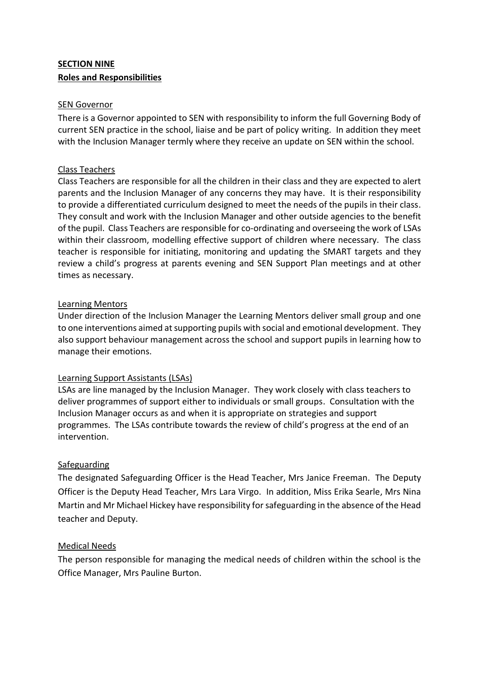# **SECTION NINE Roles and Responsibilities**

#### SEN Governor

There is a Governor appointed to SEN with responsibility to inform the full Governing Body of current SEN practice in the school, liaise and be part of policy writing. In addition they meet with the Inclusion Manager termly where they receive an update on SEN within the school.

### Class Teachers

Class Teachers are responsible for all the children in their class and they are expected to alert parents and the Inclusion Manager of any concerns they may have. It is their responsibility to provide a differentiated curriculum designed to meet the needs of the pupils in their class. They consult and work with the Inclusion Manager and other outside agencies to the benefit of the pupil. Class Teachers are responsible for co-ordinating and overseeing the work of LSAs within their classroom, modelling effective support of children where necessary. The class teacher is responsible for initiating, monitoring and updating the SMART targets and they review a child's progress at parents evening and SEN Support Plan meetings and at other times as necessary.

#### Learning Mentors

Under direction of the Inclusion Manager the Learning Mentors deliver small group and one to one interventions aimed at supporting pupils with social and emotional development. They also support behaviour management across the school and support pupils in learning how to manage their emotions.

# Learning Support Assistants (LSAs)

LSAs are line managed by the Inclusion Manager. They work closely with class teachers to deliver programmes of support either to individuals or small groups. Consultation with the Inclusion Manager occurs as and when it is appropriate on strategies and support programmes. The LSAs contribute towards the review of child's progress at the end of an intervention.

# **Safeguarding**

The designated Safeguarding Officer is the Head Teacher, Mrs Janice Freeman. The Deputy Officer is the Deputy Head Teacher, Mrs Lara Virgo. In addition, Miss Erika Searle, Mrs Nina Martin and Mr Michael Hickey have responsibility for safeguarding in the absence of the Head teacher and Deputy.

# Medical Needs

The person responsible for managing the medical needs of children within the school is the Office Manager, Mrs Pauline Burton.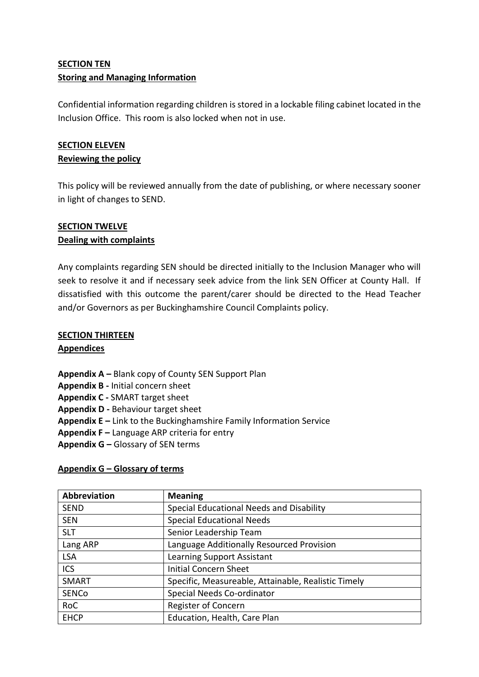# **SECTION TEN Storing and Managing Information**

Confidential information regarding children is stored in a lockable filing cabinet located in the Inclusion Office. This room is also locked when not in use.

# **SECTION ELEVEN**

# **Reviewing the policy**

This policy will be reviewed annually from the date of publishing, or where necessary sooner in light of changes to SEND.

# **SECTION TWELVE Dealing with complaints**

Any complaints regarding SEN should be directed initially to the Inclusion Manager who will seek to resolve it and if necessary seek advice from the link SEN Officer at County Hall. If dissatisfied with this outcome the parent/carer should be directed to the Head Teacher and/or Governors as per Buckinghamshire Council Complaints policy.

# **SECTION THIRTEEN**

# **Appendices**

**Appendix A –** Blank copy of County SEN Support Plan

- **Appendix B -** Initial concern sheet
- **Appendix C -** SMART target sheet
- **Appendix D -** Behaviour target sheet
- **Appendix E –** Link to the Buckinghamshire Family Information Service
- **Appendix F –** Language ARP criteria for entry
- **Appendix G –** Glossary of SEN terms

# **Appendix G – Glossary of terms**

| Abbreviation | <b>Meaning</b>                                      |
|--------------|-----------------------------------------------------|
| <b>SEND</b>  | Special Educational Needs and Disability            |
| <b>SEN</b>   | <b>Special Educational Needs</b>                    |
| <b>SLT</b>   | Senior Leadership Team                              |
| Lang ARP     | Language Additionally Resourced Provision           |
| <b>LSA</b>   | Learning Support Assistant                          |
| <b>ICS</b>   | <b>Initial Concern Sheet</b>                        |
| SMART        | Specific, Measureable, Attainable, Realistic Timely |
| <b>SENCo</b> | Special Needs Co-ordinator                          |
| <b>RoC</b>   | Register of Concern                                 |
| <b>EHCP</b>  | Education, Health, Care Plan                        |